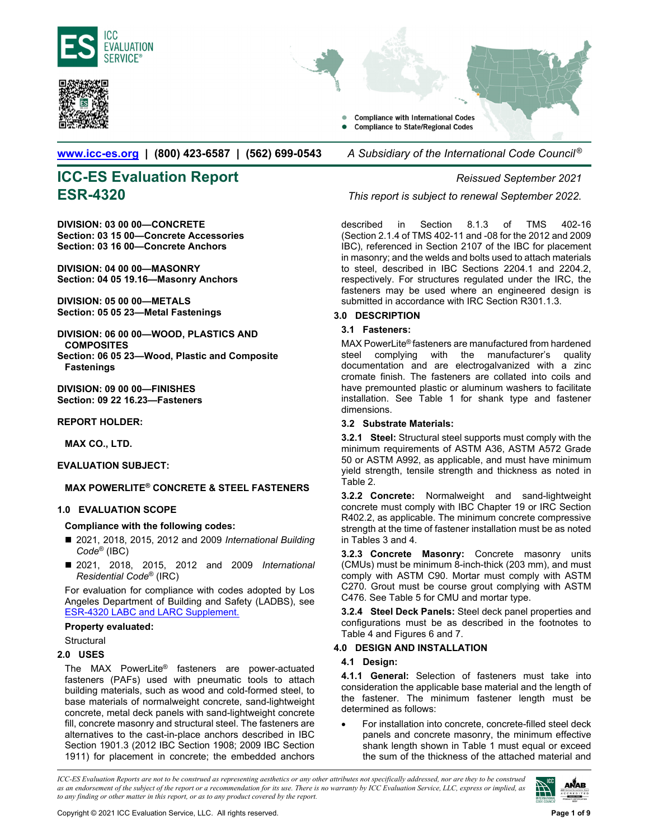<span id="page-0-0"></span>



**Compliance with International Codes Compliance to State/Regional Codes** 

**www.icc-es.org | (800) 423-6587 | (562) 699-0543** *A Subsidiary of the International Code Council ®* 

# **[ICC-ES Eval](http://www.icc-es.org/)uation Report** *Reissued September 2021*

**DIVISION: 03 00 00—CONCRETE Section: 03 15 00—Concrete Accessories Section: 03 16 00—Concrete Anchors** 

**DIVISION: 04 00 00—MASONRY Section: 04 05 19.16—Masonry Anchors** 

**DIVISION: 05 00 00—METALS Section: 05 05 23—Metal Fastenings** 

**DIVISION: 06 00 00—WOOD, PLASTICS AND COMPOSITES Section: 06 05 23—Wood, Plastic and Composite** 

**Fastenings DIVISION: 09 00 00—FINISHES** 

**Section: 09 22 16.23—Fasteners** 

#### **REPORT HOLDER:**

**MAX CO., LTD.** 

#### **EVALUATION SUBJECT:**

### **MAX POWERLITE® CONCRETE & STEEL FASTENERS**

#### **1.0 EVALUATION SCOPE**

#### **Compliance with the following codes:**

- 2021, 2018, 2015, 2012 and 2009 *International Building Code*® (IBC)
- 2021, 2018, 2015, 2012 and 2009 *International Residential Code*® (IRC)

For evaluation for compliance with codes adopted by Los Angeles Department of Building and Safety (LADBS), see [ESR-4320 LABC and LARC Supplement.](#page-8-0)

#### **Property evaluated:**

**Structural** 

#### **2.0 USES**

The MAX PowerLite® fasteners are power-actuated fasteners (PAFs) used with pneumatic tools to attach building materials, such as wood and cold-formed steel, to base materials of normalweight concrete, sand-lightweight concrete, metal deck panels with sand-lightweight concrete fill, concrete masonry and structural steel. The fasteners are alternatives to the cast-in-place anchors described in IBC Section 1901.3 (2012 IBC Section 1908; 2009 IBC Section 1911) for placement in concrete; the embedded anchors

**ESR-4320** *This report is subject to renewal September 2022.*

described in Section 8.1.3 of TMS 402-16 (Section 2.1.4 of TMS 402-11 and -08 for the 2012 and 2009 IBC), referenced in Section 2107 of the IBC for placement in masonry; and the welds and bolts used to attach materials to steel, described in IBC Sections 2204.1 and 2204.2, respectively. For structures regulated under the IRC, the fasteners may be used where an engineered design is submitted in accordance with IRC Section R301.1.3.

## **3.0 DESCRIPTION**

#### **3.1 Fasteners:**

MAX PowerLite® fasteners are manufactured from hardened steel complying with the manufacturer's quality documentation and are electrogalvanized with a zinc cromate finish. The fasteners are collated into coils and have premounted plastic or aluminum washers to facilitate installation. See Table 1 for shank type and fastener dimensions.

#### **3.2 Substrate Materials:**

**3.2.1 Steel:** Structural steel supports must comply with the minimum requirements of ASTM A36, ASTM A572 Grade 50 or ASTM A992, as applicable, and must have minimum yield strength, tensile strength and thickness as noted in Table 2.

**3.2.2 Concrete:** Normalweight and sand-lightweight concrete must comply with IBC Chapter 19 or IRC Section R402.2, as applicable. The minimum concrete compressive strength at the time of fastener installation must be as noted in Tables 3 and 4.

**3.2.3 Concrete Masonry:** Concrete masonry units (CMUs) must be minimum 8-inch-thick (203 mm), and must comply with ASTM C90. Mortar must comply with ASTM C270. Grout must be course grout complying with ASTM C476. See Table 5 for CMU and mortar type.

**3.2.4 Steel Deck Panels:** Steel deck panel properties and configurations must be as described in the footnotes to Table 4 and Figures 6 and 7.

### **4.0 DESIGN AND INSTALLATION**

#### **4.1 Design:**

**4.1.1 General:** Selection of fasteners must take into consideration the applicable base material and the length of the fastener. The minimum fastener length must be determined as follows:

 For installation into concrete, concrete-filled steel deck panels and concrete masonry, the minimum effective shank length shown in Table 1 must equal or exceed the sum of the thickness of the attached material and

*ICC-ES Evaluation Reports are not to be construed as representing aesthetics or any other attributes not specifically addressed, nor are they to be construed as an endorsement of the subject of the report or a recommendation for its use. There is no warranty by ICC Evaluation Service, LLC, express or implied, as to any finding or other matter in this report, or as to any product covered by the report.*

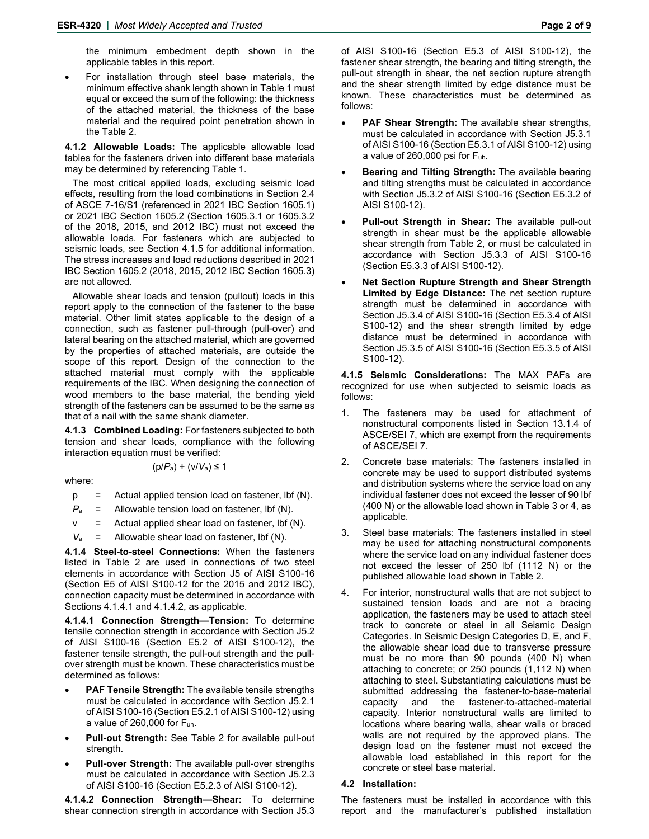the minimum embedment depth shown in the applicable tables in this report.

 For installation through steel base materials, the minimum effective shank length shown in Table 1 must equal or exceed the sum of the following: the thickness of the attached material, the thickness of the base material and the required point penetration shown in the Table 2.

**4.1.2 Allowable Loads:** The applicable allowable load tables for the fasteners driven into different base materials may be determined by referencing Table 1.

The most critical applied loads, excluding seismic load effects, resulting from the load combinations in Section 2.4 of ASCE 7-16/S1 (referenced in 2021 IBC Section 1605.1) or 2021 IBC Section 1605.2 (Section 1605.3.1 or 1605.3.2 of the 2018, 2015, and 2012 IBC) must not exceed the allowable loads. For fasteners which are subjected to seismic loads, see Section 4.1.5 for additional information. The stress increases and load reductions described in 2021 IBC Section 1605.2 (2018, 2015, 2012 IBC Section 1605.3) are not allowed.

Allowable shear loads and tension (pullout) loads in this report apply to the connection of the fastener to the base material. Other limit states applicable to the design of a connection, such as fastener pull-through (pull-over) and lateral bearing on the attached material, which are governed by the properties of attached materials, are outside the scope of this report. Design of the connection to the attached material must comply with the applicable requirements of the IBC. When designing the connection of wood members to the base material, the bending yield strength of the fasteners can be assumed to be the same as that of a nail with the same shank diameter.

**4.1.3 Combined Loading:** For fasteners subjected to both tension and shear loads, compliance with the following interaction equation must be verified:

$$
(p/P_a) + (v/V_a) \le 1
$$

where:

- p= Actual applied tension load on fastener, lbf (N).
- $P_a$  = Allowable tension load on fastener, lbf (N).
- $v =$  Actual applied shear load on fastener, lbf (N).
- $V_a$  = Allowable shear load on fastener, lbf (N).

**4.1.4 Steel-to-steel Connections:** When the fasteners listed in Table 2 are used in connections of two steel elements in accordance with Section J5 of AISI S100-16 (Section E5 of AISI S100-12 for the 2015 and 2012 IBC), connection capacity must be determined in accordance with Sections 4.1.4.1 and 4.1.4.2, as applicable.

**4.1.4.1 Connection Strength—Tension:** To determine tensile connection strength in accordance with Section J5.2 of AISI S100-16 (Section E5.2 of AISI S100-12), the fastener tensile strength, the pull-out strength and the pullover strength must be known. These characteristics must be determined as follows:

- **PAF Tensile Strength:** The available tensile strengths must be calculated in accordance with Section J5.2.1 of AISI S100-16 (Section E5.2.1 of AISI S100-12) using a value of 260,000 for Fuh.
- **Pull-out Strength:** See Table 2 for available pull-out strength.
- **Pull-over Strength:** The available pull-over strengths must be calculated in accordance with Section J5.2.3 of AISI S100-16 (Section E5.2.3 of AISI S100-12).

**4.1.4.2 Connection Strength—Shear:** To determine shear connection strength in accordance with Section J5.3 of AISI S100-16 (Section E5.3 of AISI S100-12), the fastener shear strength, the bearing and tilting strength, the pull-out strength in shear, the net section rupture strength and the shear strength limited by edge distance must be known. These characteristics must be determined as follows:

- **PAF Shear Strength:** The available shear strengths, must be calculated in accordance with Section J5.3.1 of AISI S100-16 (Section E5.3.1 of AISI S100-12) using a value of  $260,000$  psi for  $F_{uh}$ .
- **Bearing and Tilting Strength:** The available bearing and tilting strengths must be calculated in accordance with Section J5.3.2 of AISI S100-16 (Section E5.3.2 of AISI S100-12).
- **Pull-out Strength in Shear:** The available pull-out strength in shear must be the applicable allowable shear strength from Table 2, or must be calculated in accordance with Section J5.3.3 of AISI S100-16 (Section E5.3.3 of AISI S100-12).
- **Net Section Rupture Strength and Shear Strength Limited by Edge Distance:** The net section rupture strength must be determined in accordance with Section J5.3.4 of AISI S100-16 (Section E5.3.4 of AISI S100-12) and the shear strength limited by edge distance must be determined in accordance with Section J5.3.5 of AISI S100-16 (Section E5.3.5 of AISI S100-12).

**4.1.5 Seismic Considerations:** The MAX PAFs are recognized for use when subjected to seismic loads as follows:

- 1. The fasteners may be used for attachment of nonstructural components listed in Section 13.1.4 of ASCE/SEI 7, which are exempt from the requirements of ASCE/SEI 7.
- 2. Concrete base materials: The fasteners installed in concrete may be used to support distributed systems and distribution systems where the service load on any individual fastener does not exceed the lesser of 90 lbf (400 N) or the allowable load shown in Table 3 or 4, as applicable.
- 3. Steel base materials: The fasteners installed in steel may be used for attaching nonstructural components where the service load on any individual fastener does not exceed the lesser of 250 lbf (1112 N) or the published allowable load shown in Table 2.
- 4. For interior, nonstructural walls that are not subject to sustained tension loads and are not a bracing application, the fasteners may be used to attach steel track to concrete or steel in all Seismic Design Categories. In Seismic Design Categories D, E, and F, the allowable shear load due to transverse pressure must be no more than 90 pounds (400 N) when attaching to concrete; or 250 pounds (1,112 N) when attaching to steel. Substantiating calculations must be submitted addressing the fastener-to-base-material capacity and the fastener-to-attached-material capacity. Interior nonstructural walls are limited to locations where bearing walls, shear walls or braced walls are not required by the approved plans. The design load on the fastener must not exceed the allowable load established in this report for the concrete or steel base material.

#### **4.2 Installation:**

The fasteners must be installed in accordance with this report and the manufacturer's published installation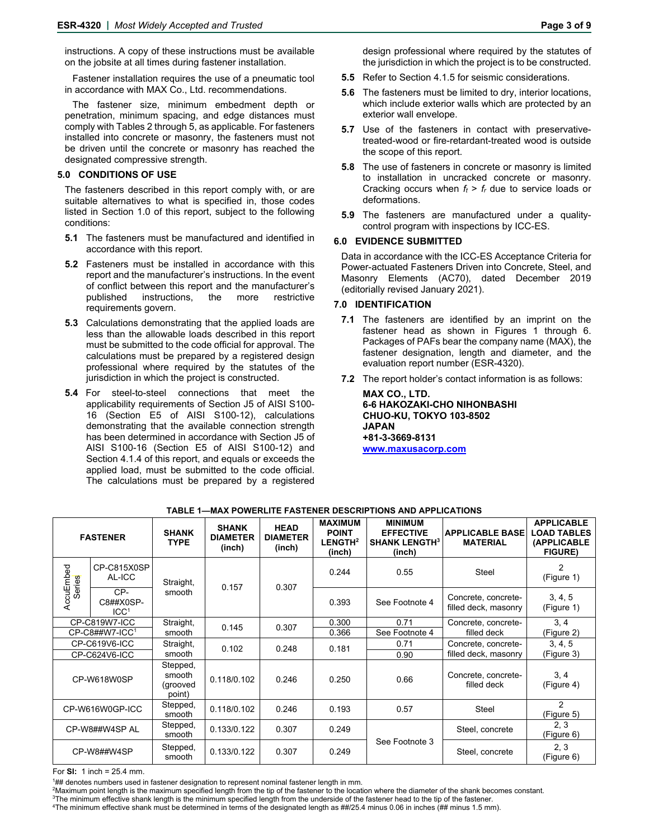instructions. A copy of these instructions must be available on the jobsite at all times during fastener installation.

Fastener installation requires the use of a pneumatic tool in accordance with MAX Co., Ltd. recommendations.

The fastener size, minimum embedment depth or penetration, minimum spacing, and edge distances must comply with Tables 2 through 5, as applicable. For fasteners installed into concrete or masonry, the fasteners must not be driven until the concrete or masonry has reached the designated compressive strength.

#### **5.0 CONDITIONS OF USE**

The fasteners described in this report comply with, or are suitable alternatives to what is specified in, those codes listed in Section 1.0 of this report, subject to the following conditions:

- **5.1** The fasteners must be manufactured and identified in accordance with this report.
- **5.2** Fasteners must be installed in accordance with this report and the manufacturer's instructions. In the event of conflict between this report and the manufacturer's published instructions, the more restrictive requirements govern.
- **5.3** Calculations demonstrating that the applied loads are less than the allowable loads described in this report must be submitted to the code official for approval. The calculations must be prepared by a registered design professional where required by the statutes of the jurisdiction in which the project is constructed.
- **5.4** For steel-to-steel connections that meet the applicability requirements of Section J5 of AISI S100- 16 (Section E5 of AISI S100-12), calculations demonstrating that the available connection strength has been determined in accordance with Section J5 of AISI S100-16 (Section E5 of AISI S100-12) and Section 4.1.4 of this report, and equals or exceeds the applied load, must be submitted to the code official. The calculations must be prepared by a registered
- **5.5** Refer to Section 4.1.5 for seismic considerations.
- **5.6** The fasteners must be limited to dry, interior locations, which include exterior walls which are protected by an exterior wall envelope.
- **5.7** Use of the fasteners in contact with preservativetreated-wood or fire-retardant-treated wood is outside the scope of this report.
- **5.8** The use of fasteners in concrete or masonry is limited to installation in uncracked concrete or masonry. Cracking occurs when *ft* > *fr* due to service loads or deformations.
- **5.9** The fasteners are manufactured under a qualitycontrol program with inspections by ICC-ES.

#### **6.0 EVIDENCE SUBMITTED**

Data in accordance with the ICC-ES Acceptance Criteria for Power-actuated Fasteners Driven into Concrete, Steel, and Masonry Elements (AC70), dated December 2019 (editorially revised January 2021).

#### **7.0 IDENTIFICATION**

- **7.1** The fasteners are identified by an imprint on the fastener head as shown in Figures 1 through 6. Packages of PAFs bear the company name (MAX), the fastener designation, length and diameter, and the evaluation report number (ESR-4320).
- **7.2** The report holder's contact information is as follows:

**MAX CO., LTD. 6-6 HAKOZAKI-CHO NIHONBASHI CHUO-KU, TOKYO 103-8502 JAPAN +81-3-3669-8131 [www.maxusacorp.com](http://www.maxusacorp.com/)** 

| <b>FASTENER</b>      |                                      | <b>SHANK</b><br><b>TYPE</b>              | <b>SHANK</b><br><b>DIAMETER</b><br>(inch) | <b>HEAD</b><br><b>DIAMETER</b><br>(inch) | <b>MAXIMUM</b><br><b>POINT</b><br>LENGTH <sup>2</sup><br>(inch) | <b>MINIMUM</b><br><b>EFFECTIVE</b><br><b>SHANK LENGTH3</b><br>(inch) | <b>APPLICABLE BASE</b><br><b>MATERIAL</b>   | <b>APPLICABLE</b><br><b>LOAD TABLES</b><br>(APPLICABLE<br><b>FIGURE)</b> |
|----------------------|--------------------------------------|------------------------------------------|-------------------------------------------|------------------------------------------|-----------------------------------------------------------------|----------------------------------------------------------------------|---------------------------------------------|--------------------------------------------------------------------------|
| AccuEmbed<br>Series  | CP-C815X0SP<br>AL-ICC                | Straight,                                | 0.157                                     | 0.307                                    | 0.244                                                           | 0.55                                                                 | Steel                                       | 2<br>(Figure 1)                                                          |
|                      | CP-<br>C8##X0SP-<br>ICC <sup>1</sup> | smooth                                   |                                           |                                          | 0.393                                                           | See Footnote 4                                                       | Concrete, concrete-<br>filled deck, masonry | 3, 4, 5<br>(Figure 1)                                                    |
| CP-C819W7-ICC        |                                      | Straight,                                | 0.145                                     | 0.307                                    | 0.300                                                           | 0.71                                                                 | Concrete, concrete-                         | 3, 4                                                                     |
| $CP$ -C8##W7-ICC $1$ |                                      | smooth                                   |                                           |                                          | 0.366                                                           | See Footnote 4                                                       | filled deck                                 | (Figure 2)                                                               |
| CP-C619V6-ICC        |                                      | Straight,                                | 0.102                                     | 0.248                                    | 0.181                                                           | 0.71                                                                 | Concrete, concrete-                         | 3, 4, 5                                                                  |
| CP-C624V6-ICC        |                                      | smooth                                   |                                           |                                          |                                                                 | 0.90                                                                 | filled deck, masonry                        | (Figure 3)                                                               |
| CP-W618W0SP          |                                      | Stepped,<br>smooth<br>(grooved<br>point) | 0.118/0.102                               | 0.246                                    | 0.250                                                           | 0.66                                                                 | Concrete, concrete-<br>filled deck          | 3, 4<br>(Figure 4)                                                       |
| CP-W616W0GP-ICC      |                                      | Stepped,<br>smooth                       | 0.118/0.102                               | 0.246                                    | 0.193                                                           | 0.57                                                                 | Steel                                       | 2<br>(Figure 5)                                                          |
| CP-W8##W4SP AL       |                                      | Stepped,<br>smooth                       | 0.133/0.122                               | 0.307                                    | 0.249                                                           |                                                                      | Steel, concrete                             | 2, 3<br>(Figure 6)                                                       |
| CP-W8##W4SP          |                                      | Stepped,<br>smooth                       |                                           | 0.307                                    | 0.249                                                           | See Footnote 3                                                       | Steel, concrete                             | 2, 3<br>(Figure 6)                                                       |

#### **TABLE 1—MAX POWERLITE FASTENER DESCRIPTIONS AND APPLICATIONS**

For **SI:** 1 inch = 25.4 mm.

1## denotes numbers used in fastener designation to represent nominal fastener length in mm.<br><sup>2</sup>Maximum point length is the maximum specified length from the tip of the fastener to the location where the diameter of the sh

 $^{3}$ The minimum effective shank length is the minimum specified length from the underside of the fastener head to the tip of the fastener.<br><sup>4</sup>The minimum effective shank must he determined in terms of the designated leng The minimum effective shank must be determined in terms of the designated length as ##/25.4 minus 0.06 in inches (## minus 1.5 mm).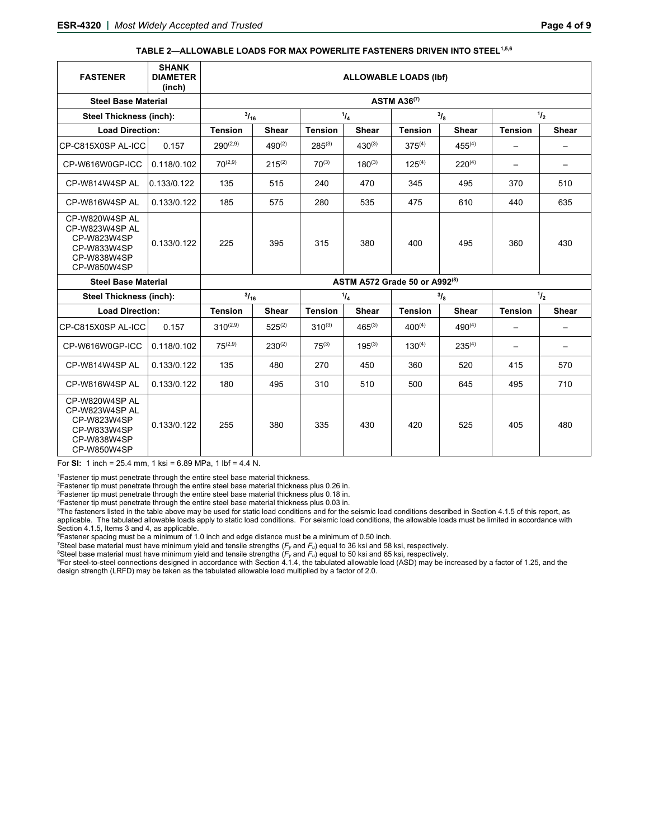#### **TABLE 2—ALLOWABLE LOADS FOR MAX POWERLITE FASTENERS DRIVEN INTO STEEL1,5,6**

| <b>FASTENER</b>                                                                              | <b>SHANK</b><br><b>DIAMETER</b><br>(inch) | <b>ALLOWABLE LOADS (Ibf)</b>  |              |                |              |                |              |                          |                          |  |  |  |  |
|----------------------------------------------------------------------------------------------|-------------------------------------------|-------------------------------|--------------|----------------|--------------|----------------|--------------|--------------------------|--------------------------|--|--|--|--|
| <b>Steel Base Material</b>                                                                   | <b>ASTM A36(7)</b>                        |                               |              |                |              |                |              |                          |                          |  |  |  |  |
| <b>Steel Thickness (inch):</b>                                                               |                                           | $^{3}/_{16}$                  |              | 1/4            |              | $^{3}I_{8}$    |              | 1/2                      |                          |  |  |  |  |
| <b>Load Direction:</b>                                                                       |                                           | <b>Tension</b>                | <b>Shear</b> | <b>Tension</b> | <b>Shear</b> | <b>Tension</b> | <b>Shear</b> | <b>Tension</b>           | <b>Shear</b>             |  |  |  |  |
| CP-C815X0SP AL-ICC                                                                           | 0.157                                     | $290^{(2,9)}$                 | $490^{(2)}$  | $285^{(3)}$    | $430^{(3)}$  | $375^{(4)}$    | $455^{(4)}$  |                          |                          |  |  |  |  |
| CP-W616W0GP-ICC                                                                              | 0.118/0.102                               | $70^{(2,9)}$                  | $215^{(2)}$  | $70^{(3)}$     | $180^{(3)}$  | $125^{(4)}$    | $220^{(4)}$  | $\overline{\phantom{m}}$ | $\overline{\phantom{0}}$ |  |  |  |  |
| CP-W814W4SP AL                                                                               | 0.133/0.122                               | 135                           | 515          | 240            | 470          | 345            | 495          | 370                      | 510                      |  |  |  |  |
| CP-W816W4SP AL                                                                               | 0.133/0.122                               | 185                           | 575          | 280            | 535          | 475            | 610          | 440                      | 635                      |  |  |  |  |
| CP-W820W4SP AL<br>CP-W823W4SP AL<br>CP-W823W4SP<br>CP-W833W4SP<br>CP-W838W4SP<br>CP-W850W4SP | 0.133/0.122                               | 225                           | 395          | 315            | 380          | 400            | 495          | 360                      | 430                      |  |  |  |  |
| <b>Steel Base Material</b>                                                                   |                                           | ASTM A572 Grade 50 or A992(8) |              |                |              |                |              |                          |                          |  |  |  |  |
| <b>Steel Thickness (inch):</b>                                                               |                                           | $^{3}/_{16}$                  |              | 1/4            |              | $\frac{3}{8}$  |              | 1/2                      |                          |  |  |  |  |
| <b>Load Direction:</b>                                                                       |                                           | <b>Tension</b>                | <b>Shear</b> | <b>Tension</b> | <b>Shear</b> | <b>Tension</b> | Shear        | <b>Tension</b>           | <b>Shear</b>             |  |  |  |  |
| CP-C815X0SP AL-ICC                                                                           | 0.157                                     | $310^{(2,9)}$                 | $525^{(2)}$  | $310^{(3)}$    | $465^{(3)}$  | $400^{(4)}$    | $490^{(4)}$  | $\qquad \qquad -$        |                          |  |  |  |  |
| CP-W616W0GP-ICC                                                                              | 0.118/0.102                               | $75^{(2,9)}$                  | $230^{(2)}$  | $75^{(3)}$     | $195^{(3)}$  | $130^{(4)}$    | $235^{(4)}$  | $\overline{\phantom{0}}$ |                          |  |  |  |  |
| CP-W814W4SP AL                                                                               | 0.133/0.122                               | 135                           | 480          | 270            | 450          | 360            | 520          | 415                      | 570                      |  |  |  |  |
| CP-W816W4SP AL                                                                               | 0.133/0.122                               | 180                           | 495          | 310            | 510          | 500            | 645          | 495                      | 710                      |  |  |  |  |
| CP-W820W4SP AL<br>CP-W823W4SP AL<br>CP-W823W4SP<br>CP-W833W4SP<br>CP-W838W4SP<br>CP-W850W4SP | 0.133/0.122                               | 255                           | 380          | 335            | 430          | 420            | 525          | 405                      | 480                      |  |  |  |  |

For **SI:** 1 inch = 25.4 mm, 1 ksi = 6.89 MPa, 1 lbf = 4.4 N.

<sup>1</sup>Fastener tip must penetrate through the entire steel base material thickness.<br><sup>2</sup>Fastener tip must penetrate through the entire steel base material thickness plus 0.26 in.<br><sup>3</sup>Fastener tip must penetrate through the enti applicable. The tabulated allowable loads apply to static load conditions. For seismic load conditions, the allowable loads must be limited in accordance with Section 4.1.5, Items 3 and 4, as applicable.

<sup>6</sup>Fastener spacing must be a minimum of 1.0 inch and edge distance must be a minimum of 0.50 inch.

<sup>6</sup>Fastener spacing must be a minimum of 1.0 inch and edge distance must be a minimum of 0.50 inch.<br>′Steel base material must have minimum yield and tensile strengths (*F<sub>y</sub>* and *F<sub>u</sub>*) equal to 36 ksi and 58 ksi, respec design strength (LRFD) may be taken as the tabulated allowable load multiplied by a factor of 2.0.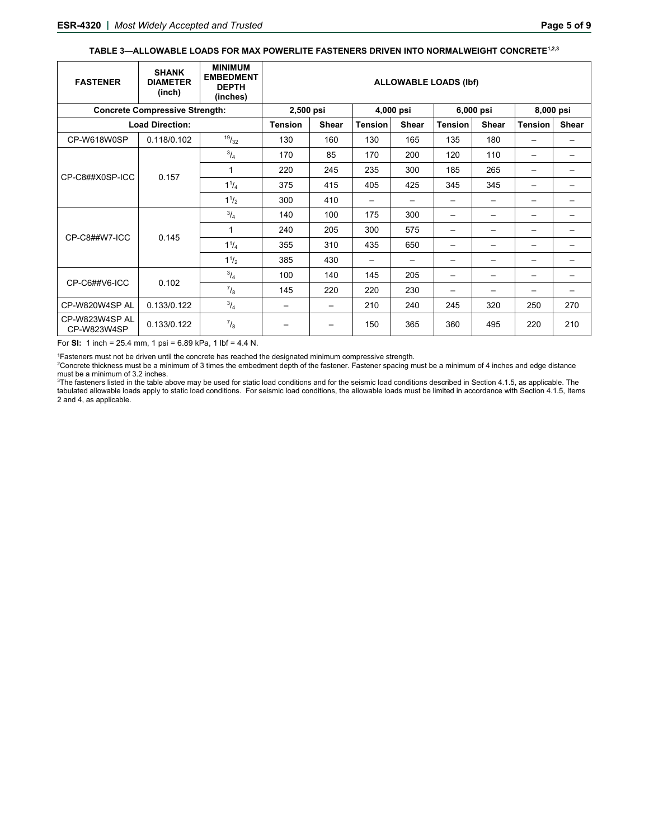#### TABLE 3-ALLOWABLE LOADS FOR MAX POWERLITE FASTENERS DRIVEN INTO NORMALWEIGHT CONCRETE<sup>1,2,3</sup>

| <b>FASTENER</b>               | <b>SHANK</b><br><b>DIAMETER</b><br>(inch) | <b>MINIMUM</b><br><b>EMBEDMENT</b><br><b>DEPTH</b><br>(inches) | <b>ALLOWABLE LOADS (Ibf)</b> |                          |                |              |                |                          |                |       |   |  |   |   |  |
|-------------------------------|-------------------------------------------|----------------------------------------------------------------|------------------------------|--------------------------|----------------|--------------|----------------|--------------------------|----------------|-------|---|--|---|---|--|
|                               | <b>Concrete Compressive Strength:</b>     | 2,500 psi                                                      |                              | 4,000 psi                |                | 6,000 psi    |                | 8,000 psi                |                |       |   |  |   |   |  |
|                               | <b>Load Direction:</b>                    |                                                                | <b>Tension</b>               | <b>Shear</b>             | <b>Tension</b> | <b>Shear</b> | <b>Tension</b> | <b>Shear</b>             | <b>Tension</b> | Shear |   |  |   |   |  |
| CP-W618W0SP                   | 0.118/0.102                               | 19/32                                                          | 130                          | 160                      | 130            | 165          | 135            | 180                      |                |       |   |  |   |   |  |
| CP-C8##X0SP-ICC               | 0.157                                     | $^{3}/_{4}$                                                    | 170                          | 85                       | 170            | 200          | 120            | 110                      |                |       |   |  |   |   |  |
|                               |                                           | 1                                                              | 220                          | 245                      | 235            | 300          | 185            | 265                      |                |       |   |  |   |   |  |
|                               |                                           |                                                                | $1^{1}/_{4}$                 | 375                      | 415            | 405          | 425            | 345                      | 345            |       |   |  |   |   |  |
|                               |                                           | $1^{1/2}$                                                      | 300                          | 410                      | —              |              | —              | —                        |                |       |   |  |   |   |  |
|                               | 0.145                                     |                                                                | $^{3}/_{4}$                  | 140                      | 100            | 175          | 300            | $\overline{\phantom{0}}$ | —              |       |   |  |   |   |  |
|                               |                                           | 1                                                              | 240                          | 205                      | 300            | 575          | —              | —                        |                |       |   |  |   |   |  |
| CP-C8##W7-ICC                 |                                           | $1^{1}/_{4}$                                                   | 355                          | 310                      | 435            | 650          | —              | —                        | -              | —     |   |  |   |   |  |
|                               |                                           |                                                                |                              |                          |                |              |                | $1^{1/2}$                | 385            | 430   | — |  | — | — |  |
|                               | 0.102                                     | $^{3}/_{4}$                                                    | 100                          | 140                      | 145            | 205          | —              | —                        |                |       |   |  |   |   |  |
| CP-C6##V6-ICC                 |                                           | $^{7}/_8$                                                      | 145                          | 220                      | 220            | 230          | —              |                          |                |       |   |  |   |   |  |
| CP-W820W4SP AL                | 0.133/0.122                               | $^{3}/_{4}$                                                    |                              | $\overline{\phantom{0}}$ | 210            | 240          | 245            | 320                      | 250            | 270   |   |  |   |   |  |
| CP-W823W4SP AL<br>CP-W823W4SP | 0.133/0.122                               | $\frac{7}{8}$                                                  | $\qquad \qquad$              | —                        | 150            | 365          | 360            | 495                      | 220            | 210   |   |  |   |   |  |

For **SI:** 1 inch = 25.4 mm, 1 psi = 6.89 kPa, 1 lbf = 4.4 N.

<sup>1</sup>Fasteners must not be driven until the concrete has reached the designated minimum compressive strength.<br><sup>2</sup>Concrete thickness must be a minimum of 3 times the embedment denth of the fastener. Eastener spacing m

<sup>2</sup>Concrete thickness must be a minimum of 3 times the embedment depth of the fastener. Fastener spacing must be a minimum of 4 inches and edge distance must be a minimum of 3.2 inches.

<sup>3</sup>The fasteners listed in the table above may be used for static load conditions and for the seismic load conditions described in Section 4.1.5, as applicable. The tabulated allowable loads apply to static load conditions. For seismic load conditions, the allowable loads must be limited in accordance with Section 4.1.5, Items 2 and 4, as applicable.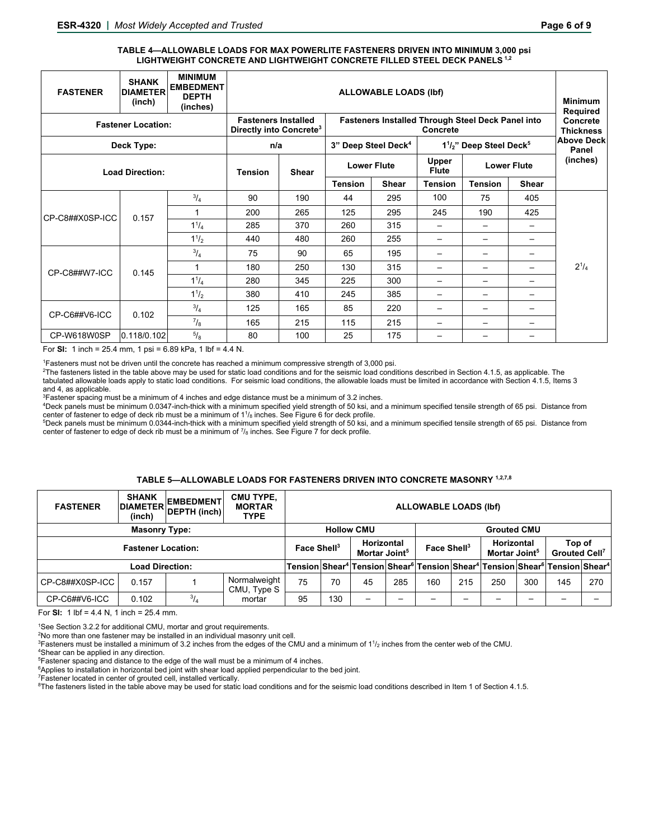#### **TABLE 4—ALLOWABLE LOADS FOR MAX POWERLITE FASTENERS DRIVEN INTO MINIMUM 3,000 psi LIGHTWEIGHT CONCRETE AND LIGHTWEIGHT CONCRETE FILLED STEEL DECK PANELS 1,2**

| <b>FASTENER</b>           | <b>SHANK</b><br><b>DIAMETER</b><br>(inch)                         | <b>MINIMUM</b><br><b>EMBEDMENT</b><br><b>DEPTH</b><br>(inches) | <b>ALLOWABLE LOADS (Ibf)</b><br><b>Minimum</b>           |                                          |                    |              |                                             |                            |              |           |  |  |  |
|---------------------------|-------------------------------------------------------------------|----------------------------------------------------------------|----------------------------------------------------------|------------------------------------------|--------------------|--------------|---------------------------------------------|----------------------------|--------------|-----------|--|--|--|
| <b>Fastener Location:</b> | <b>Fasteners Installed</b><br>Directly into Concrete <sup>3</sup> |                                                                | <b>Fasteners Installed Through Steel Deck Panel into</b> | Required<br>Concrete<br><b>Thickness</b> |                    |              |                                             |                            |              |           |  |  |  |
| Deck Type:                |                                                                   | n/a                                                            |                                                          | 3" Deep Steel Deck <sup>4</sup>          |                    |              | $1^{1}/2$ " Deep Steel Deck <sup>5</sup>    | <b>Above Deck</b><br>Panel |              |           |  |  |  |
| <b>Load Direction:</b>    |                                                                   |                                                                | <b>Shear</b><br><b>Tension</b>                           |                                          | <b>Lower Flute</b> |              | Upper<br><b>Lower Flute</b><br><b>Flute</b> |                            |              | (inches)  |  |  |  |
|                           |                                                                   |                                                                |                                                          |                                          | <b>Tension</b>     | <b>Shear</b> | <b>Tension</b>                              | <b>Tension</b>             | <b>Shear</b> |           |  |  |  |
|                           | 0.157                                                             | $^{3}/_{4}$                                                    | 90                                                       | 190                                      | 44                 | 295          | 100                                         | 75                         | 405          |           |  |  |  |
| CP-C8##X0SP-ICC           |                                                                   | 1                                                              | 200                                                      | 265                                      | 125                | 295          | 245                                         | 190                        | 425          |           |  |  |  |
|                           |                                                                   | $1^{1}/_{4}$                                                   | 285                                                      | 370                                      | 260                | 315          | $\overline{\phantom{0}}$                    | $\overline{\phantom{0}}$   |              |           |  |  |  |
|                           |                                                                   | $1^{1/2}$                                                      | 440                                                      | 480                                      | 260                | 255          | —                                           | $\overline{\phantom{0}}$   |              |           |  |  |  |
|                           | 0.145                                                             | $^{3}/_{4}$                                                    | 75                                                       | 90                                       | 65                 | 195          |                                             |                            |              |           |  |  |  |
| CP-C8##W7-ICC             |                                                                   | 1                                                              | 180                                                      | 250                                      | 130                | 315          |                                             |                            |              | $2^{1/4}$ |  |  |  |
|                           |                                                                   | $1^{1}/_{4}$                                                   | 280                                                      | 345                                      | 225                | 300          |                                             |                            |              |           |  |  |  |
|                           |                                                                   | $1^{1/2}$                                                      | 380                                                      | 410                                      | 245                | 385          |                                             |                            |              |           |  |  |  |
| CP-C6##V6-ICC             | 0.102                                                             | $^{3}/_{4}$                                                    | 125                                                      | 165                                      | 85                 | 220          |                                             |                            |              |           |  |  |  |
|                           |                                                                   | $^{7}/_8$                                                      | 165                                                      | 215                                      | 115                | 215          |                                             |                            |              |           |  |  |  |
| CP-W618W0SP               | 0.118/0.102                                                       | $5/8$                                                          | 80                                                       | 100                                      | 25                 | 175          |                                             | $\overline{\phantom{0}}$   |              |           |  |  |  |

For **SI:** 1 inch = 25.4 mm, 1 psi = 6.89 kPa, 1 lbf = 4.4 N.

1Fasteners must not be driven until the concrete has reached a minimum compressive strength of 3,000 psi. 2

<sup>2</sup>The fasteners listed in the table above may be used for static load conditions and for the seismic load conditions described in Section 4.1.5, as applicable. The tabulated allowable loads apply to static load conditions. For seismic load conditions, the allowable loads must be limited in accordance with Section 4.1.5, Items 3 and 4, as applicable.

<sup>3</sup>Fastener spacing must be a minimum of 4 inches and edge distance must be a minimum of 3.2 inches.

Deck panels must be minimum 0.0347-inch-thick with a minimum specified yield strength of 50 ksi, and a minimum specified tensile strength of 65 psi. Distance from center of fastener to edge of deck rib must be a minimum of 1½ inches. See Figure 6 for deck profile.<br><sup>5</sup>Deck panels must be minimum 0.0344-inch-thick with a minimum specified vield strength of 50 ksi. ar

Deck panels must be minimum 0.0344-inch-thick with a minimum specified yield strength of 50 ksi, and a minimum specified tensile strength of 65 psi. Distance from center of fastener to edge of deck rib must be a minimum of  $\frac{7}{8}$  inches. See Figure 7 for deck profile.

#### **TABLE 5—ALLOWABLE LOADS FOR FASTENERS DRIVEN INTO CONCRETE MASONRY 1,2,7,8**

| <b>FASTENER</b>           | <b>SHANK</b><br>(inch) | <b>EMBEDMENT</b><br>DIAMETER DEPTH (inch) | <b>CMU TYPE,</b><br><b>MORTAR</b><br><b>TYPE</b> |    |                                                                    |    |     | <b>ALLOWABLE LOADS (Ibf)</b>                                                                         |                    |                                                                                                                                        |     |     |     |  |
|---------------------------|------------------------|-------------------------------------------|--------------------------------------------------|----|--------------------------------------------------------------------|----|-----|------------------------------------------------------------------------------------------------------|--------------------|----------------------------------------------------------------------------------------------------------------------------------------|-----|-----|-----|--|
| <b>Masonry Type:</b>      |                        |                                           |                                                  |    | <b>Hollow CMU</b>                                                  |    |     |                                                                                                      | <b>Grouted CMU</b> |                                                                                                                                        |     |     |     |  |
| <b>Fastener Location:</b> |                        |                                           |                                                  |    | Horizontal<br>Face Shell <sup>3</sup><br>Mortar Joint <sup>5</sup> |    |     | Top of<br>Horizontal<br>Face Shell <sup>3</sup><br>Mortar Joint <sup>5</sup><br><b>Grouted Cell7</b> |                    |                                                                                                                                        |     |     |     |  |
| <b>Load Direction:</b>    |                        |                                           |                                                  |    |                                                                    |    |     |                                                                                                      |                    | Tension Shear <sup>4</sup> Tension Shear <sup>6</sup> Tension Shear <sup>4</sup> Tension Shear <sup>6</sup> Tension Shear <sup>4</sup> |     |     |     |  |
| CP-C8##X0SP-ICC           | 0.157                  |                                           | Normalweight<br>CMU, Type S                      | 75 | 70                                                                 | 45 | 285 | 160                                                                                                  | 215                | 250                                                                                                                                    | 300 | 145 | 270 |  |
| CP-C6##V6-ICC             | 0.102                  | $^{3}/_{4}$                               | mortar                                           | 95 | 130                                                                | –  |     |                                                                                                      |                    |                                                                                                                                        |     |     |     |  |

For **SI:** 1 lbf = 4.4 N, 1 inch = 25.4 mm.

 $^1$ See Section 3.2.2 for additional CMU, mortar and grout requirements.<br><sup>2</sup>No more than one fastener may be installed in an individual masonry unit cell.<br><sup>3⊑</sup>esteners must be installed a minimum of 3.2 inches from the ed

 ${}^{3}$ Fasteners must be installed a minimum of 3.2 inches from the edges of the CMU and a minimum of 1½ inches from the center web of the CMU.<br><sup>4Shear</sup> can be applied in any direction

<sup>4</sup>Shear can be applied in any direction.<br><sup>5</sup>Fastener spacing and distance to the edge of the wall must be a minimum of 4 inches.

 $6$ Applies to installation in horizontal bed joint with shear load applied perpendicular to the bed joint.

 $7$ Fastener located in center of grouted cell, installed vertically.

<sup>8</sup>The fasteners listed in the table above may be used for static load conditions and for the seismic load conditions described in Item 1 of Section 4.1.5.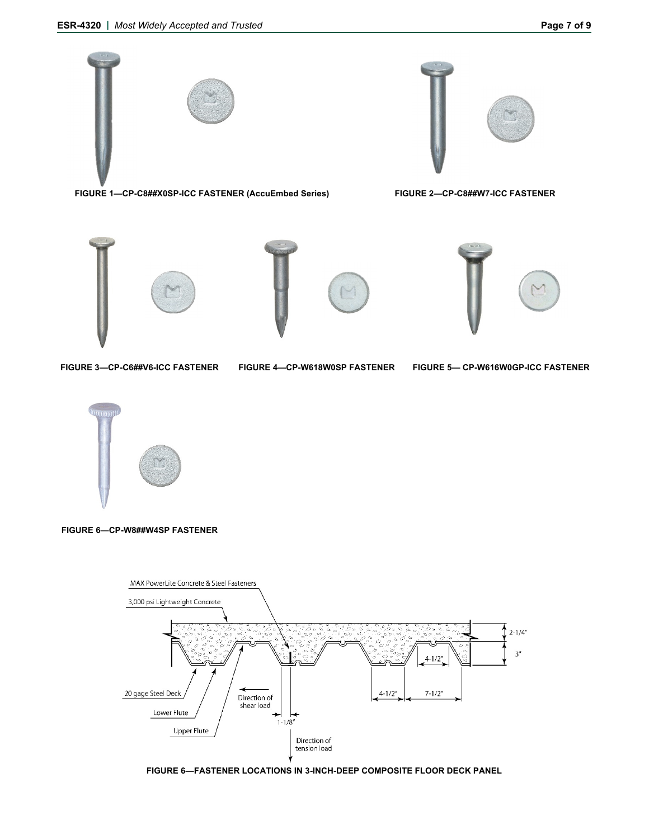

 **FIGURE 1—CP-C8##X0SP-ICC FASTENER (AccuEmbed Series) FIGURE 2—CP-C8##W7-ICC FASTENER** 







**FIGURE 3—CP-C6##V6-ICC FASTENER** 

**FIGURE 4—CP-W618W0SP FASTENER FIGURE 5— CP-W616W0GP-ICC FASTENER** 



**FIGURE 6—CP-W8##W4SP FASTENER** 



**FIGURE 6—FASTENER LOCATIONS IN 3-INCH-DEEP COMPOSITE FLOOR DECK PANEL**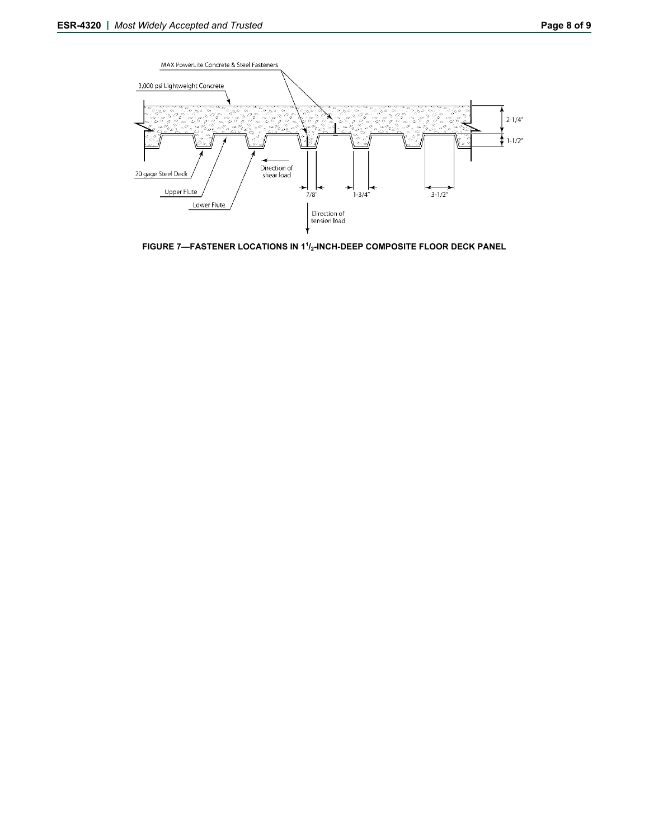

**FIGURE 7—FASTENER LOCATIONS IN 11 /2-INCH-DEEP COMPOSITE FLOOR DECK PANEL**